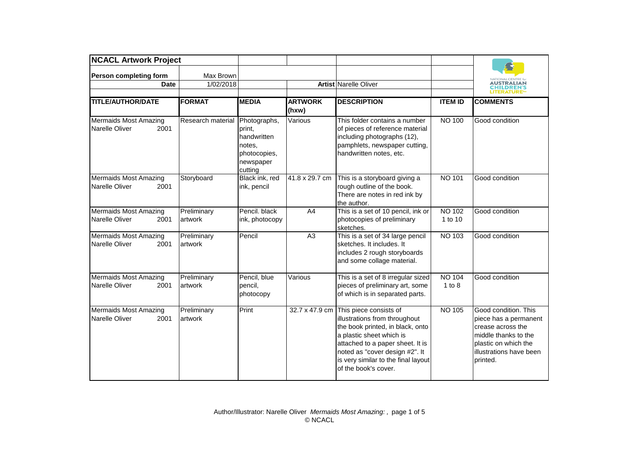| <b>NCACL Artwork Project</b>                                  |                        |                                                                                         |                         |                                                                                                                                                                                                                                                                             |                          |                                                                                                                                                           |
|---------------------------------------------------------------|------------------------|-----------------------------------------------------------------------------------------|-------------------------|-----------------------------------------------------------------------------------------------------------------------------------------------------------------------------------------------------------------------------------------------------------------------------|--------------------------|-----------------------------------------------------------------------------------------------------------------------------------------------------------|
| Person completing form<br><b>Date</b>                         | Max Brown<br>1/02/2018 |                                                                                         |                         | Artist Narelle Oliver                                                                                                                                                                                                                                                       |                          | <b>NATIONAL CENT</b><br><b>AUSTRALIAN<br/>CHILDREN'S</b><br><b>LITERATURE<sup>®</sup></b>                                                                 |
| <b>TITLE/AUTHOR/DATE</b>                                      | <b>FORMAT</b>          | <b>MEDIA</b>                                                                            | <b>ARTWORK</b><br>(hxw) | <b>DESCRIPTION</b>                                                                                                                                                                                                                                                          | <b>ITEM ID</b>           | <b>COMMENTS</b>                                                                                                                                           |
| <b>Mermaids Most Amazing</b><br><b>Narelle Oliver</b><br>2001 | Research material      | Photographs,<br>print,<br>handwritten<br>notes.<br>photocopies,<br>newspaper<br>cutting | Various                 | This folder contains a number<br>of pieces of reference material<br>including photographs (12),<br>pamphlets, newspaper cutting,<br>handwritten notes, etc.                                                                                                                 | <b>NO 100</b>            | Good condition                                                                                                                                            |
| <b>Mermaids Most Amazing</b><br>Narelle Oliver<br>2001        | Storyboard             | Black ink, red<br>ink, pencil                                                           | 41.8 x 29.7 cm          | This is a storyboard giving a<br>rough outline of the book.<br>There are notes in red ink by<br>the author.                                                                                                                                                                 | NO 101                   | Good condition                                                                                                                                            |
| <b>Mermaids Most Amazing</b><br>Narelle Oliver<br>2001        | Preliminary<br>artwork | Pencil. black<br>ink, photocopy                                                         | A4                      | This is a set of 10 pencil, ink or<br>photocopies of preliminary<br>sketches.                                                                                                                                                                                               | <b>NO 102</b><br>1 to 10 | Good condition                                                                                                                                            |
| <b>Mermaids Most Amazing</b><br>Narelle Oliver<br>2001        | Preliminary<br>artwork | Pencil                                                                                  | A <sub>3</sub>          | This is a set of 34 large pencil<br>sketches. It includes. It<br>includes 2 rough storyboards<br>and some collage material.                                                                                                                                                 | NO 103                   | Good condition                                                                                                                                            |
| Mermaids Most Amazing<br><b>Narelle Oliver</b><br>2001        | Preliminary<br>artwork | Pencil, blue<br>pencil,<br>photocopy                                                    | Various                 | This is a set of 8 irregular sized<br>pieces of preliminary art, some<br>of which is in separated parts.                                                                                                                                                                    | <b>NO 104</b><br>1 to 8  | Good condition                                                                                                                                            |
| <b>Mermaids Most Amazing</b><br>Narelle Oliver<br>2001        | Preliminary<br>artwork | Print                                                                                   |                         | 32.7 x 47.9 cm This piece consists of<br>illustrations from throughout<br>the book printed, in black, onto<br>a plastic sheet which is<br>attached to a paper sheet. It is<br>noted as "cover design #2". It<br>is very similar to the final layout<br>of the book's cover. | <b>NO 105</b>            | Good condition. This<br>piece has a permanent<br>crease across the<br>middle thanks to the<br>plastic on which the<br>illustrations have been<br>printed. |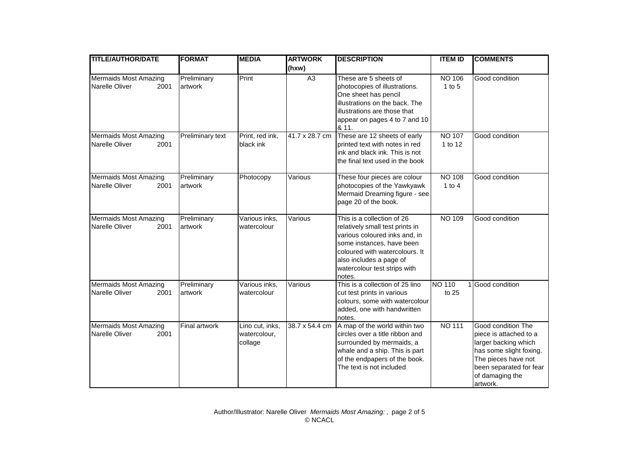| <b>TITLE/AUTHOR/DATE</b>                                      | <b>FORMAT</b>          | <b>MEDIA</b>                               | <b>ARTWORK</b> | <b>DESCRIPTION</b>                                                                                                                                                                                                                 | <b>ITEM ID</b>              | <b>COMMENTS</b>                                                                                                                                                                  |
|---------------------------------------------------------------|------------------------|--------------------------------------------|----------------|------------------------------------------------------------------------------------------------------------------------------------------------------------------------------------------------------------------------------------|-----------------------------|----------------------------------------------------------------------------------------------------------------------------------------------------------------------------------|
|                                                               |                        |                                            | (hxw)          |                                                                                                                                                                                                                                    |                             |                                                                                                                                                                                  |
| <b>Mermaids Most Amazing</b><br>Narelle Oliver<br>2001        | Preliminary<br>artwork | Print                                      | A <sub>3</sub> | These are 5 sheets of<br>photocopies of illustrations.<br>One sheet has pencil<br>illustrations on the back. The<br>illustrations are those that<br>appear on pages 4 to 7 and 10<br>& 11.                                         | <b>NO 106</b><br>$1$ to $5$ | Good condition                                                                                                                                                                   |
| <b>Mermaids Most Amazing</b><br><b>Narelle Oliver</b><br>2001 | Preliminary text       | Print, red ink,<br>black ink               | 41.7 x 28.7 cm | These are 12 sheets of early<br>printed text with notes in red<br>ink and black ink. This is not<br>the final text used in the book                                                                                                | <b>NO 107</b><br>1 to 12    | Good condition                                                                                                                                                                   |
| <b>Mermaids Most Amazing</b><br>Narelle Oliver<br>2001        | Preliminary<br>artwork | Photocopy                                  | Various        | These four pieces are colour<br>photocopies of the Yawkyawk<br>Mermaid Dreaming figure - see<br>page 20 of the book.                                                                                                               | <b>NO 108</b><br>$1$ to $4$ | Good condition                                                                                                                                                                   |
| <b>Mermaids Most Amazing</b><br>Narelle Oliver<br>2001        | Preliminary<br>artwork | Various inks,<br>watercolour               | Various        | This is a collection of 26<br>relatively small test prints in<br>various coloured inks and, in<br>some instances, have been<br>coloured with watercolours. It<br>also includes a page of<br>watercolour test strips with<br>notes. | <b>NO 109</b>               | Good condition                                                                                                                                                                   |
| <b>Mermaids Most Amazing</b><br>Narelle Oliver<br>2001        | Preliminary<br>artwork | Various inks,<br>watercolour               | Various        | This is a collection of 25 lino<br>cut test prints in various<br>colours, some with watercolour<br>added, one with handwritten<br>notes.                                                                                           | NO 110<br>to 25             | Good condition                                                                                                                                                                   |
| <b>Mermaids Most Amazing</b><br><b>Narelle Oliver</b><br>2001 | Final artwork          | Lino cut, inks,<br>watercolour,<br>collage | 38.7 x 54.4 cm | A map of the world within two<br>circles over a title ribbon and<br>surrounded by mermaids, a<br>whale and a ship. This is part<br>of the endpapers of the book.<br>The text is not included                                       | <b>NO 111</b>               | Good condition The<br>piece is attached to a<br>larger backing which<br>has some slight foxing.<br>The pieces have not<br>been separated for fear<br>of damaging the<br>artwork. |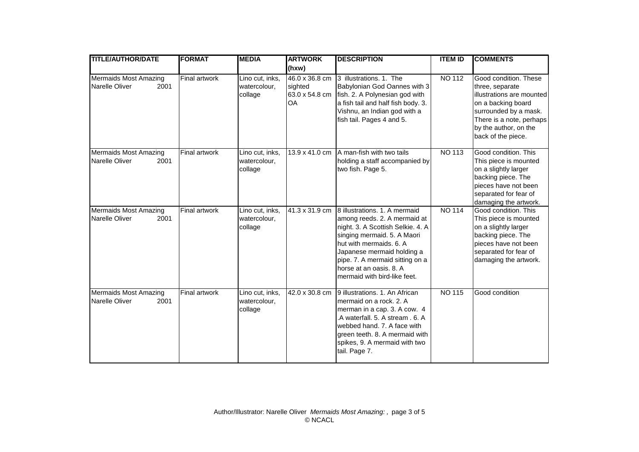| <b>TITLE/AUTHOR/DATE</b>                                      | <b>FORMAT</b>        | <b>MEDIA</b>                               | <b>ARTWORK</b>                                           | <b>DESCRIPTION</b>                                                                                                                                                                                                                                                                       | <b>ITEM ID</b> | <b>COMMENTS</b>                                                                                                                                                                                 |
|---------------------------------------------------------------|----------------------|--------------------------------------------|----------------------------------------------------------|------------------------------------------------------------------------------------------------------------------------------------------------------------------------------------------------------------------------------------------------------------------------------------------|----------------|-------------------------------------------------------------------------------------------------------------------------------------------------------------------------------------------------|
|                                                               |                      |                                            | (hxw)                                                    |                                                                                                                                                                                                                                                                                          |                |                                                                                                                                                                                                 |
| <b>Mermaids Most Amazing</b><br>Narelle Oliver<br>2001        | <b>Final artwork</b> | Lino cut, inks,<br>watercolour,<br>collage | 46.0 x 36.8 cm<br>sighted<br>63.0 x 54.8 cm<br><b>OA</b> | 3 illustrations. 1. The<br>Babylonian God Oannes with 3<br>fish. 2. A Polynesian god with<br>a fish tail and half fish body. 3.<br>Vishnu, an Indian god with a<br>fish tail. Pages 4 and 5.                                                                                             | <b>NO 112</b>  | Good condition. These<br>three, separate<br>illustrations are mounted<br>on a backing board<br>surrounded by a mask.<br>There is a note, perhaps<br>by the author, on the<br>back of the piece. |
| <b>Mermaids Most Amazing</b><br>2001<br><b>Narelle Oliver</b> | <b>Final artwork</b> | Lino cut, inks,<br>watercolour,<br>collage | 13.9 x 41.0 cm                                           | A man-fish with two tails<br>holding a staff accompanied by<br>two fish. Page 5.                                                                                                                                                                                                         | <b>NO 113</b>  | Good condition. This<br>This piece is mounted<br>on a slightly larger<br>backing piece. The<br>pieces have not been<br>separated for fear of<br>damaging the artwork.                           |
| <b>Mermaids Most Amazing</b><br><b>Narelle Oliver</b><br>2001 | <b>Final artwork</b> | Lino cut, inks,<br>watercolour,<br>collage | 41.3 x 31.9 cm                                           | 8 illustrations. 1. A mermaid<br>among reeds. 2. A mermaid at<br>night. 3. A Scottish Selkie. 4. A<br>singing mermaid. 5. A Maori<br>hut with mermaids, 6, A<br>Japanese mermaid holding a<br>pipe. 7. A mermaid sitting on a<br>horse at an oasis, 8. A<br>mermaid with bird-like feet. | <b>NO 114</b>  | Good condition. This<br>This piece is mounted<br>on a slightly larger<br>backing piece. The<br>pieces have not been<br>separated for fear of<br>damaging the artwork.                           |
| <b>Mermaids Most Amazing</b><br>Narelle Oliver<br>2001        | <b>Final artwork</b> | Lino cut, inks,<br>watercolour,<br>collage | 42.0 x 30.8 cm                                           | 9 illustrations. 1. An African<br>mermaid on a rock, 2, A<br>merman in a cap. 3. A cow. 4<br>A waterfall. 5. A stream . 6. A<br>webbed hand. 7. A face with<br>green teeth. 8. A mermaid with<br>spikes, 9. A mermaid with two<br>tail. Page 7.                                          | <b>NO 115</b>  | Good condition                                                                                                                                                                                  |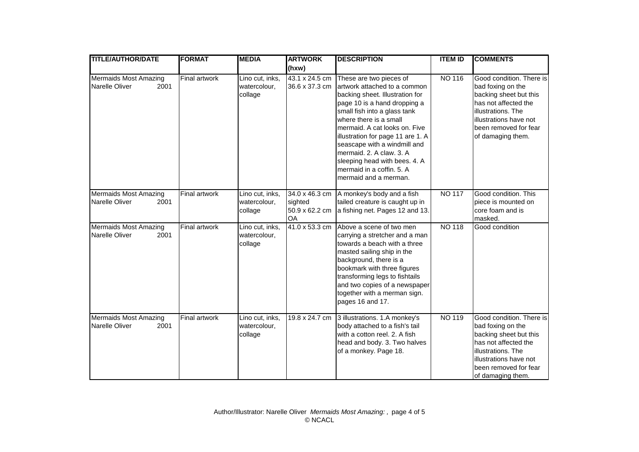| <b>TITLE/AUTHOR/DATE</b>                                      | <b>FORMAT</b>        | <b>MEDIA</b>                               | <b>ARTWORK</b>                                           | <b>DESCRIPTION</b>                                                                                                                                                                                                                                                                                                                                                                                            | <b>ITEM ID</b> | <b>COMMENTS</b>                                                                                                                                                                               |
|---------------------------------------------------------------|----------------------|--------------------------------------------|----------------------------------------------------------|---------------------------------------------------------------------------------------------------------------------------------------------------------------------------------------------------------------------------------------------------------------------------------------------------------------------------------------------------------------------------------------------------------------|----------------|-----------------------------------------------------------------------------------------------------------------------------------------------------------------------------------------------|
|                                                               |                      |                                            | (hxw)                                                    |                                                                                                                                                                                                                                                                                                                                                                                                               |                |                                                                                                                                                                                               |
| <b>Mermaids Most Amazing</b><br>Narelle Oliver<br>2001        | <b>Final artwork</b> | Lino cut, inks,<br>watercolour,<br>collage | 43.1 x 24.5 cm<br>36.6 x 37.3 cm                         | These are two pieces of<br>artwork attached to a common<br>backing sheet. Illustration for<br>page 10 is a hand dropping a<br>small fish into a glass tank<br>where there is a small<br>mermaid. A cat looks on. Five<br>illustration for page 11 are 1. A<br>seascape with a windmill and<br>mermaid. 2. A claw. 3. A<br>sleeping head with bees. 4. A<br>mermaid in a coffin. 5. A<br>mermaid and a merman. | <b>NO 116</b>  | Good condition. There is<br>bad foxing on the<br>backing sheet but this<br>has not affected the<br>illustrations. The<br>illustrations have not<br>been removed for fear<br>of damaging them. |
| <b>Mermaids Most Amazing</b><br><b>Narelle Oliver</b><br>2001 | <b>Final artwork</b> | Lino cut, inks,<br>watercolour,<br>collage | 34.0 x 46.3 cm<br>sighted<br>50.9 x 62.2 cm<br><b>OA</b> | A monkey's body and a fish<br>tailed creature is caught up in<br>a fishing net. Pages 12 and 13.                                                                                                                                                                                                                                                                                                              | <b>NO 117</b>  | Good condition. This<br>piece is mounted on<br>core foam and is<br>masked.                                                                                                                    |
| <b>Mermaids Most Amazing</b><br><b>Narelle Oliver</b><br>2001 | Final artwork        | Lino cut, inks,<br>watercolour,<br>collage | 41.0 x 53.3 cm                                           | Above a scene of two men<br>carrying a stretcher and a man<br>towards a beach with a three<br>masted sailing ship in the<br>background, there is a<br>bookmark with three figures<br>transforming legs to fishtails<br>and two copies of a newspaper<br>together with a merman sign.<br>pages 16 and 17.                                                                                                      | <b>NO 118</b>  | Good condition                                                                                                                                                                                |
| <b>Mermaids Most Amazing</b><br><b>Narelle Oliver</b><br>2001 | <b>Final artwork</b> | Lino cut, inks,<br>watercolour,<br>collage | 19.8 x 24.7 cm                                           | 3 illustrations. 1.A monkey's<br>body attached to a fish's tail<br>with a cotton reel, 2. A fish<br>head and body. 3. Two halves<br>of a monkey. Page 18.                                                                                                                                                                                                                                                     | <b>NO 119</b>  | Good condition. There is<br>bad foxing on the<br>backing sheet but this<br>has not affected the<br>illustrations. The<br>illustrations have not<br>been removed for fear<br>of damaging them. |